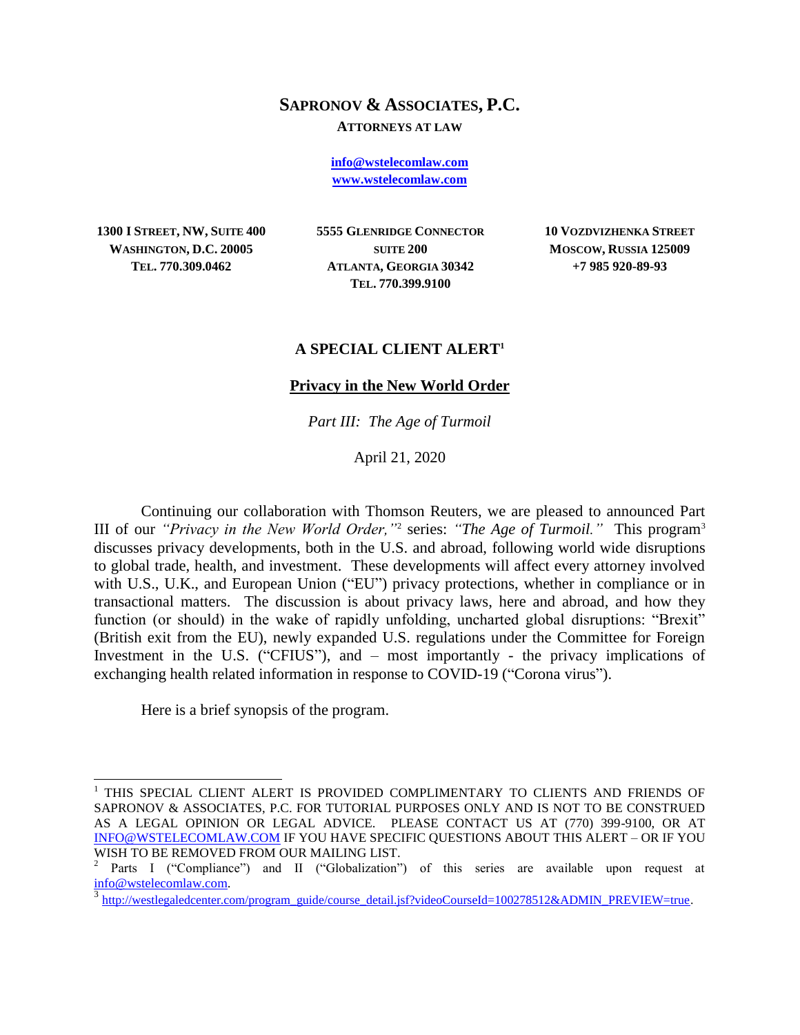# **SAPRONOV & ASSOCIATES, P.C.**

#### **ATTORNEYS AT LAW**

**[info@wstelecomlaw.com](mailto:info@wstelecomlaw.com) [www.wstelecomlaw.com](http://www.wstelecomlaw.com/)**

**1300 I STREET, NW, SUITE 400 WASHINGTON, D.C. 20005 TEL. 770.309.0462**

**5555 GLENRIDGE CONNECTOR SUITE 200 ATLANTA, GEORGIA 30342 TEL. 770.399.9100**

**10 VOZDVIZHENKA STREET MOSCOW, RUSSIA 125009 +7 985 920-89-93**

### **A SPECIAL CLIENT ALERT<sup>1</sup>**

#### **Privacy in the New World Order**

*Part III: The Age of Turmoil*

April 21, 2020

Continuing our collaboration with Thomson Reuters, we are pleased to announced Part III of our *"Privacy in the New World Order,"*<sup>2</sup> series: *"The Age of Turmoil."* This program<sup>3</sup> discusses privacy developments, both in the U.S. and abroad, following world wide disruptions to global trade, health, and investment. These developments will affect every attorney involved with U.S., U.K., and European Union ("EU") privacy protections, whether in compliance or in transactional matters. The discussion is about privacy laws, here and abroad, and how they function (or should) in the wake of rapidly unfolding, uncharted global disruptions: "Brexit" (British exit from the EU), newly expanded U.S. regulations under the Committee for Foreign Investment in the U.S. ("CFIUS"), and – most importantly - the privacy implications of exchanging health related information in response to COVID-19 ("Corona virus").

Here is a brief synopsis of the program.

 $\overline{a}$ 

<sup>1</sup> THIS SPECIAL CLIENT ALERT IS PROVIDED COMPLIMENTARY TO CLIENTS AND FRIENDS OF SAPRONOV & ASSOCIATES, P.C. FOR TUTORIAL PURPOSES ONLY AND IS NOT TO BE CONSTRUED AS A LEGAL OPINION OR LEGAL ADVICE. PLEASE CONTACT US AT (770) 399-9100, OR AT [INFO@WSTELECOMLAW.COM](mailto:INFO@WSTELECOMLAW.COM) IF YOU HAVE SPECIFIC QUESTIONS ABOUT THIS ALERT – OR IF YOU WISH TO BE REMOVED FROM OUR MAILING LIST.

<sup>2</sup> Parts I ("Compliance") and II ("Globalization") of this series are available upon request at [info@wstelecomlaw.com.](mailto:info@wstelecomlaw.com)

<sup>3</sup> [http://westlegaledcenter.com/program\\_guide/course\\_detail.jsf?videoCourseId=100278512&ADMIN\\_PREVIEW=true.](http://westlegaledcenter.com/program_guide/course_detail.jsf?videoCourseId=100278512&ADMIN_PREVIEW=true)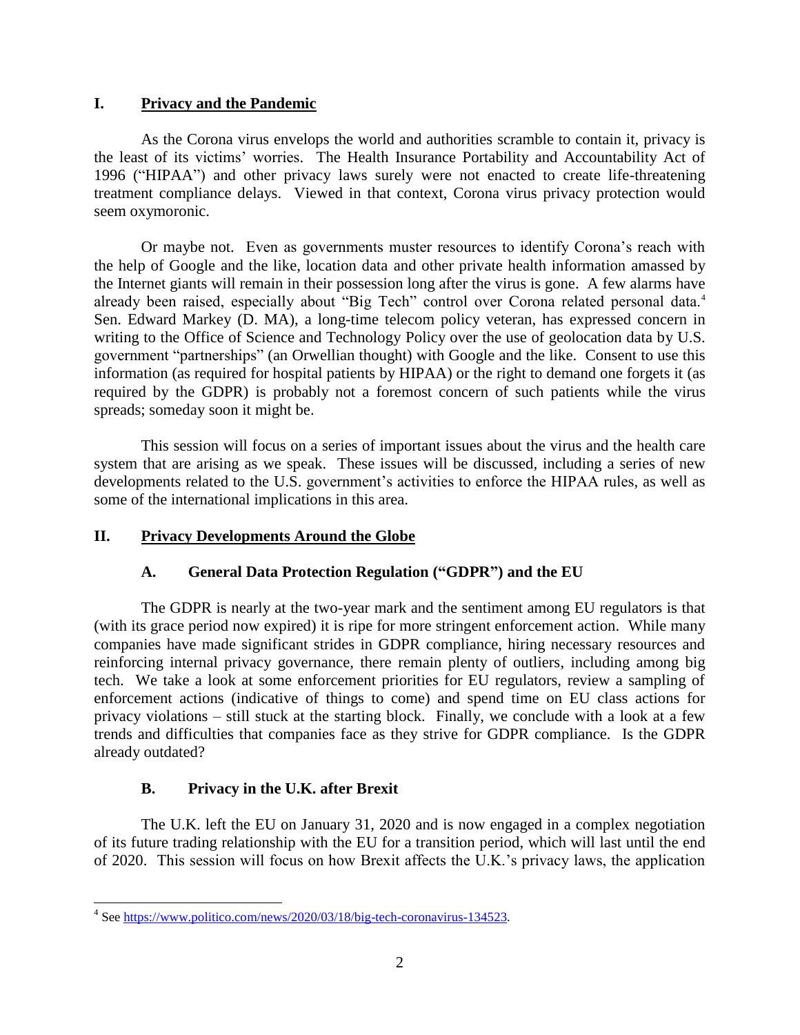### **I. Privacy and the Pandemic**

As the Corona virus envelops the world and authorities scramble to contain it, privacy is the least of its victims' worries. The Health Insurance Portability and Accountability Act of 1996 ("HIPAA") and other privacy laws surely were not enacted to create life-threatening treatment compliance delays. Viewed in that context, Corona virus privacy protection would seem oxymoronic.

Or maybe not. Even as governments muster resources to identify Corona's reach with the help of Google and the like, location data and other private health information amassed by the Internet giants will remain in their possession long after the virus is gone. A few alarms have already been raised, especially about "Big Tech" control over Corona related personal data.<sup>4</sup> Sen. Edward Markey (D. MA), a long-time telecom policy veteran, has expressed concern in writing to the Office of Science and Technology Policy over the use of geolocation data by U.S. government "partnerships" (an Orwellian thought) with Google and the like. Consent to use this information (as required for hospital patients by HIPAA) or the right to demand one forgets it (as required by the GDPR) is probably not a foremost concern of such patients while the virus spreads; someday soon it might be.

This session will focus on a series of important issues about the virus and the health care system that are arising as we speak. These issues will be discussed, including a series of new developments related to the U.S. government's activities to enforce the HIPAA rules, as well as some of the international implications in this area.

# **II. Privacy Developments Around the Globe**

# **A. General Data Protection Regulation ("GDPR") and the EU**

The GDPR is nearly at the two-year mark and the sentiment among EU regulators is that (with its grace period now expired) it is ripe for more stringent enforcement action. While many companies have made significant strides in GDPR compliance, hiring necessary resources and reinforcing internal privacy governance, there remain plenty of outliers, including among big tech. We take a look at some enforcement priorities for EU regulators, review a sampling of enforcement actions (indicative of things to come) and spend time on EU class actions for privacy violations – still stuck at the starting block. Finally, we conclude with a look at a few trends and difficulties that companies face as they strive for GDPR compliance. Is the GDPR already outdated?

# **B. Privacy in the U.K. after Brexit**

The U.K. left the EU on January 31, 2020 and is now engaged in a complex negotiation of its future trading relationship with the EU for a transition period, which will last until the end of 2020. This session will focus on how Brexit affects the U.K.'s privacy laws, the application

 4 Se[e https://www.politico.com/news/2020/03/18/big-tech-coronavirus-134523.](https://www.politico.com/news/2020/03/18/big-tech-coronavirus-134523)